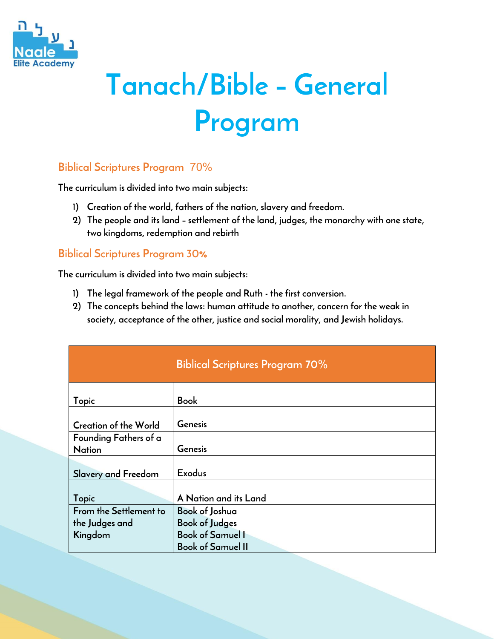

## **Tanach/Bible – General Program**

## **Biblical Scriptures Program** 70%

**The curriculum is divided into two main subjects:**

- **1) Creation of the world, fathers of the nation, slavery and freedom.**
- **2) The people and its land – settlement of the land, judges, the monarchy with one state, two kingdoms, redemption and rebirth**

## **Biblical Scriptures Program 30%**

**The curriculum is divided into two main subjects:**

- **1) The legal framework of the people and Ruth - the first conversion.**
- **2) The concepts behind the laws: human attitude to another, concern for the weak in society, acceptance of the other, justice and social morality, and Jewish holidays.**

|                              | <b>Biblical Scriptures Program 70%</b> |
|------------------------------|----------------------------------------|
| Topic                        | <b>Book</b>                            |
|                              |                                        |
| <b>Creation of the World</b> | Genesis                                |
| Founding Fathers of a        |                                        |
| <b>Nation</b>                | Genesis                                |
|                              |                                        |
| Slavery and Freedom          | <b>Exodus</b>                          |
|                              |                                        |
| Topic                        | A Nation and its Land                  |
| From the Settlement to       | <b>Book of Joshua</b>                  |
| the Judges and               | <b>Book of Judges</b>                  |
| Kingdom                      | <b>Book of Samuel I</b>                |
|                              | <b>Book of Samuel II</b>               |